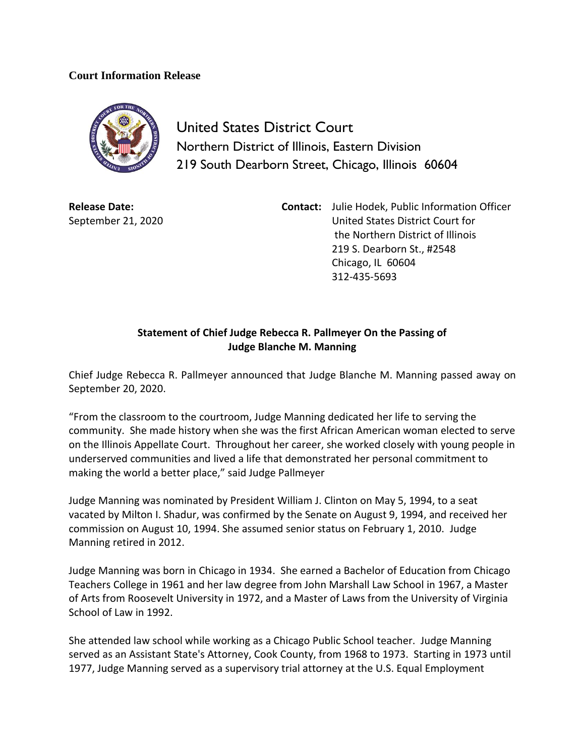## **Court Information Release**



United States District Court Northern District of Illinois, Eastern Division 219 South Dearborn Street, Chicago, Illinois 60604

**Release Date:** September 21, 2020 **Contact:** Julie Hodek, Public Information Officer United States District Court for the Northern District of Illinois 219 S. Dearborn St., #2548 Chicago, IL 60604 312-435-5693

## **Statement of Chief Judge Rebecca R. Pallmeyer On the Passing of Judge Blanche M. Manning**

Chief Judge Rebecca R. Pallmeyer announced that Judge Blanche M. Manning passed away on September 20, 2020.

"From the classroom to the courtroom, Judge Manning dedicated her life to serving the community. She made history when she was the first African American woman elected to serve on the Illinois Appellate Court. Throughout her career, she worked closely with young people in underserved communities and lived a life that demonstrated her personal commitment to making the world a better place," said Judge Pallmeyer

Judge Manning was nominated by President William J. Clinton on May 5, 1994, to a seat vacated by Milton I. Shadur, was confirmed by the Senate on August 9, 1994, and received her commission on August 10, 1994. She assumed senior status on February 1, 2010. Judge Manning retired in 2012.

Judge Manning was born in Chicago in 1934. She earned a Bachelor of Education from Chicago Teachers College in 1961 and her law degree from John Marshall Law School in 1967, a Master of Arts from Roosevelt University in 1972, and a Master of Laws from the University of Virginia School of Law in 1992.

She attended law school while working as a Chicago Public School teacher. Judge Manning served as an Assistant State's Attorney, Cook County, from 1968 to 1973. Starting in 1973 until 1977, Judge Manning served as a supervisory trial attorney at the U.S. Equal Employment